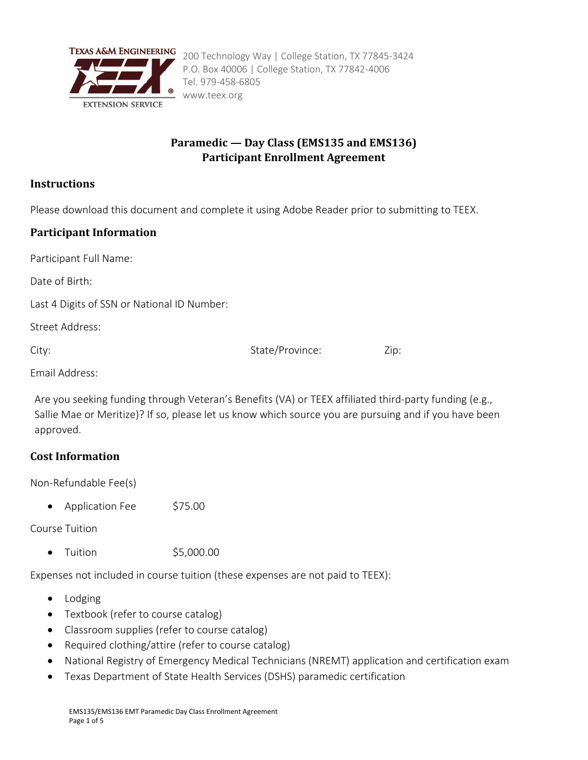

# **Paramedic — Day Class (EMS135 and EMS136) Participant Enrollment Agreement**

## **Instructions**

Please download this document and complete it using Adobe Reader prior to submitting to TEEX.

# **Participant Information**

Participant Full Name:

Date of Birth:

Last 4 Digits of SSN or National ID Number:

Street Address:

City:  $\qquad \qquad$  Zip:  $\qquad \qquad$  State/Province:  $\qquad \qquad$  Zip:

Email Address:

Are you seeking funding through Veteran's Benefits (VA) or TEEX affiliated third-party funding (e.g., Sallie Mae or Meritize)? If so, please let us know which source you are pursuing and if you have been approved.

# **Cost Information**

Non-Refundable Fee(s)

• Application Fee \$75.00

Course Tuition

• Tuition  $$5,000.00$ 

Expenses not included in course tuition (these expenses are not paid to TEEX):

- Lodging
- Textbook (refer to course catalog)
- Classroom supplies (refer to course catalog)
- Required clothing/attire (refer to course catalog)
- National Registry of Emergency Medical Technicians (NREMT) application and certification exam
- Texas Department of State Health Services (DSHS) paramedic certification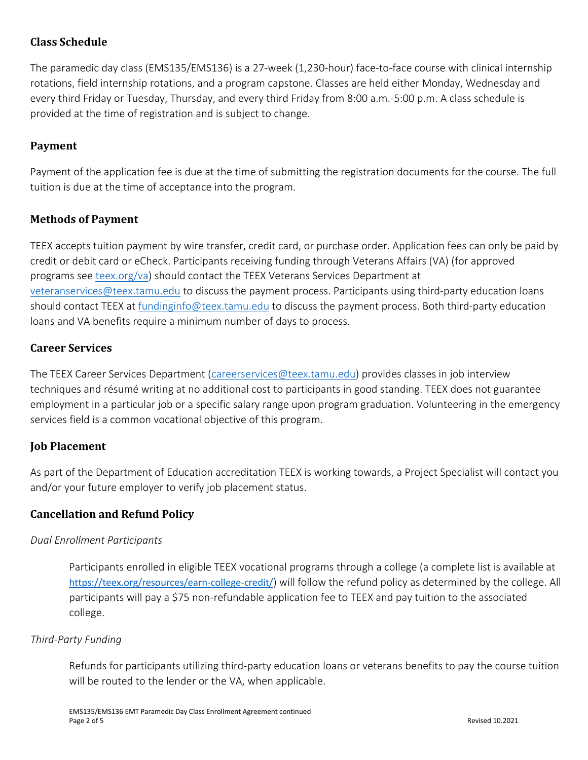# **Class Schedule**

The paramedic day class (EMS135/EMS136) is a 27-week (1,230-hour) face-to-face course with clinical internship rotations, field internship rotations, and a program capstone. Classes are held either Monday, Wednesday and every third Friday or Tuesday, Thursday, and every third Friday from 8:00 a.m.-5:00 p.m. A class schedule is provided at the time of registration and is subject to change.

## **Payment**

Payment of the application fee is due at the time of submitting the registration documents for the course. The full tuition is due at the time of acceptance into the program.

## **Methods of Payment**

TEEX accepts tuition payment by wire transfer, credit card, or purchase order. Application fees can only be paid by credit or debit card or eCheck. Participants receiving funding through Veterans Affairs (VA) (for approved programs see [teex.org/va\)](https://teex.org/program/veterans-benefits/) should contact the TEEX Veterans Services Department at [veteranservices@teex.tamu.edu](mailto:veteranservices@teex.tamu.edu) to discuss the payment process. Participants using third-party education loans should contact TEEX at [fundinginfo@teex.tamu.edu](mailto:fundinginfo@teex.tamu.edu) to discuss the payment process. Both third-party education loans and VA benefits require a minimum number of days to process.

## **Career Services**

The TEEX Career Services Department [\(careerservices@teex.tamu.edu\)](mailto:careerservices@teex.tamu.edu) provides classes in job interview techniques and résumé writing at no additional cost to participants in good standing. TEEX does not guarantee employment in a particular job or a specific salary range upon program graduation. Volunteering in the emergency services field is a common vocational objective of this program.

## **Job Placement**

As part of the Department of Education accreditation TEEX is working towards, a Project Specialist will contact you and/or your future employer to verify job placement status.

#### **Cancellation and Refund Policy**

#### *Dual Enrollment Participants*

Participants enrolled in eligible TEEX vocational programs through a college (a complete list is available at <https://teex.org/resources/earn-college-credit/>) will follow the refund policy as determined by the college. All participants will pay a \$75 non-refundable application fee to TEEX and pay tuition to the associated college.

#### *Third-Party Funding*

Refunds for participants utilizing third-party education loans or veterans benefits to pay the course tuition will be routed to the lender or the VA, when applicable.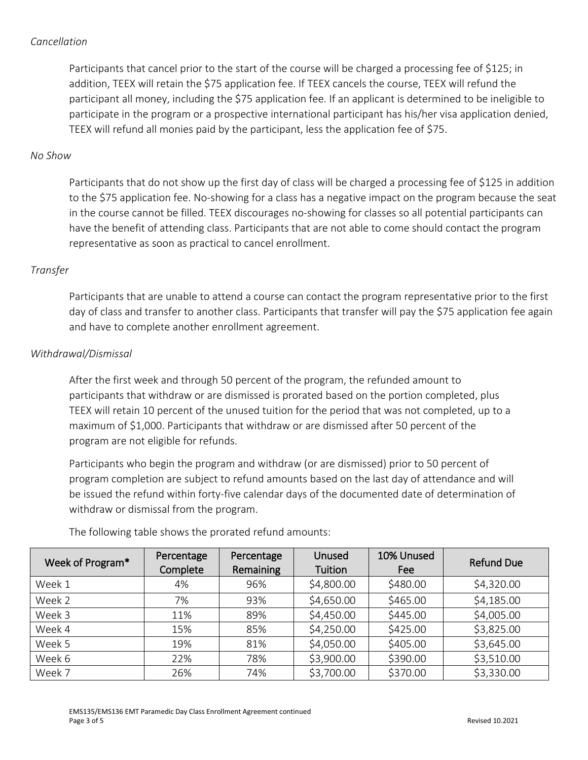#### *Cancellation*

Participants that cancel prior to the start of the course will be charged a processing fee of \$125; in addition, TEEX will retain the \$75 application fee. If TEEX cancels the course, TEEX will refund the participant all money, including the \$75 application fee. If an applicant is determined to be ineligible to participate in the program or a prospective international participant has his/her visa application denied, TEEX will refund all monies paid by the participant, less the application fee of \$75.

## *No Show*

Participants that do not show up the first day of class will be charged a processing fee of \$125 in addition to the \$75 application fee. No-showing for a class has a negative impact on the program because the seat in the course cannot be filled. TEEX discourages no-showing for classes so all potential participants can have the benefit of attending class. Participants that are not able to come should contact the program representative as soon as practical to cancel enrollment.

## *Transfer*

Participants that are unable to attend a course can contact the program representative prior to the first day of class and transfer to another class. Participants that transfer will pay the \$75 application fee again and have to complete another enrollment agreement.

#### *Withdrawal/Dismissal*

After the first week and through 50 percent of the program, the refunded amount to participants that withdraw or are dismissed is prorated based on the portion completed, plus TEEX will retain 10 percent of the unused tuition for the period that was not completed, up to a maximum of \$1,000. Participants that withdraw or are dismissed after 50 percent of the program are not eligible for refunds.

Participants who begin the program and withdraw (or are dismissed) prior to 50 percent of program completion are subject to refund amounts based on the last day of attendance and will be issued the refund within forty-five calendar days of the documented date of determination of withdraw or dismissal from the program.

| Week of Program* | Percentage<br>Complete | Percentage<br>Remaining | Unused<br>Tuition | 10% Unused<br>Fee | <b>Refund Due</b> |
|------------------|------------------------|-------------------------|-------------------|-------------------|-------------------|
| Week 1           | 4%                     | 96%                     | \$4,800.00        | \$480.00          | \$4,320.00        |
| Week 2           | 7%                     | 93%                     | \$4,650.00        | \$465.00          | \$4,185.00        |
| Week 3           | 11%                    | 89%                     | \$4,450.00        | \$445.00          | \$4,005.00        |
| Week 4           | 15%                    | 85%                     | \$4,250.00        | \$425.00          | \$3,825.00        |
| Week 5           | 19%                    | 81%                     | \$4,050.00        | \$405.00          | \$3,645.00        |
| Week 6           | 22%                    | 78%                     | \$3,900.00        | \$390.00          | \$3,510.00        |
| Week 7           | 26%                    | 74%                     | \$3,700.00        | \$370.00          | \$3,330.00        |

The following table shows the prorated refund amounts: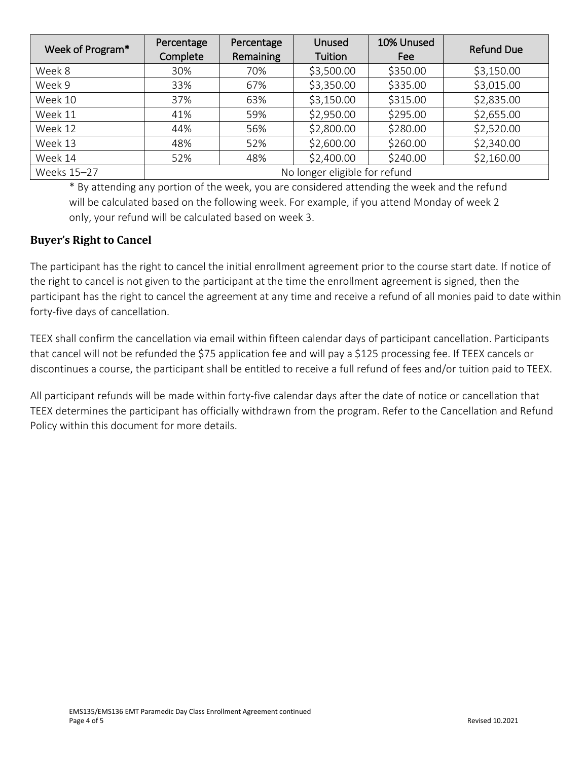| Week of Program* | Percentage<br>Complete        | Percentage<br>Remaining | Unused<br>Tuition | 10% Unused<br>Fee | <b>Refund Due</b> |
|------------------|-------------------------------|-------------------------|-------------------|-------------------|-------------------|
| Week 8           | 30%                           | 70%                     | \$3,500.00        | \$350.00          | \$3,150.00        |
| Week 9           | 33%                           | 67%                     | \$3,350.00        | \$335.00          | \$3,015.00        |
| Week 10          | 37%                           | 63%                     | \$3,150.00        | \$315.00          | \$2,835.00        |
| Week 11          | 41%                           | 59%                     | \$2,950.00        | \$295.00          | \$2,655.00        |
| Week 12          | 44%                           | 56%                     | \$2,800.00        | \$280.00          | \$2,520.00        |
| Week 13          | 48%                           | 52%                     | \$2,600.00        | \$260.00          | \$2,340.00        |
| Week 14          | 52%                           | 48%                     | \$2,400.00        | \$240.00          | \$2,160.00        |
| Weeks 15-27      | No longer eligible for refund |                         |                   |                   |                   |

\* By attending any portion of the week, you are considered attending the week and the refund will be calculated based on the following week. For example, if you attend Monday of week 2 only, your refund will be calculated based on week 3.

# **Buyer's Right to Cancel**

The participant has the right to cancel the initial enrollment agreement prior to the course start date. If notice of the right to cancel is not given to the participant at the time the enrollment agreement is signed, then the participant has the right to cancel the agreement at any time and receive a refund of all monies paid to date within forty-five days of cancellation.

TEEX shall confirm the cancellation via email within fifteen calendar days of participant cancellation. Participants that cancel will not be refunded the \$75 application fee and will pay a \$125 processing fee. If TEEX cancels or discontinues a course, the participant shall be entitled to receive a full refund of fees and/or tuition paid to TEEX.

All participant refunds will be made within forty-five calendar days after the date of notice or cancellation that TEEX determines the participant has officially withdrawn from the program. Refer to the Cancellation and Refund Policy within this document for more details.